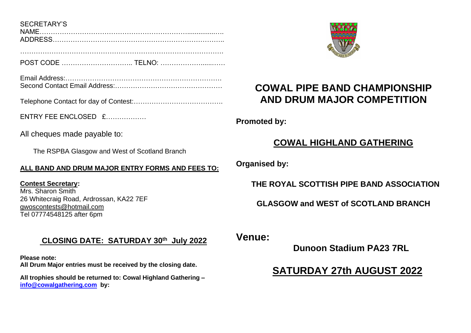SECRETARY'S NAME…………………………………………………………...............…. ADDRESS…………………………………………………………………..

POST CODE ………………………….. TELNO: ………………......……

……………………………………………………………………………….

Email Address:……………………………………………………………. Second Contact Email Address:

Telephone Contact for day of Contest:………………………………….

 $F$ NTRY FFF FNCLOSED  $f$ 

All cheques made payable to:

The RSPBA Glasgow and West of Scotland Branch

### **ALL BAND AND DRUM MAJOR ENTRY FORMS AND FEES TO:**

**Contest Secretary:**  Mrs. Sharon Smith 26 Whitecraig Road, Ardrossan, KA22 7EF [gwoscontests@hotmail.com](mailto:gwoscontests@hotmail.com)  Tel 07774548125 after 6pm

### **CLOSING DATE: SATURDAY 30th July 2022**

**Please note: All Drum Major entries must be received by the closing date.**

**All trophies should be returned to: Cowal Highland Gathering – [info@cowalgathering.com](mailto:info@cowalgathering.com) by:**



# **COWAL PIPE BAND CHAMPIONSHIP AND DRUM MAJOR COMPETITION**

**Promoted by:**

## **COWAL HIGHLAND GATHERING**

**Organised by:** 

 **THE ROYAL SCOTTISH PIPE BAND ASSOCIATION**

**GLASGOW and WEST of SCOTLAND BRANCH**

**Venue:**

 **Dunoon Stadium PA23 7RL**

## **SATURDAY 27th AUGUST 2022**